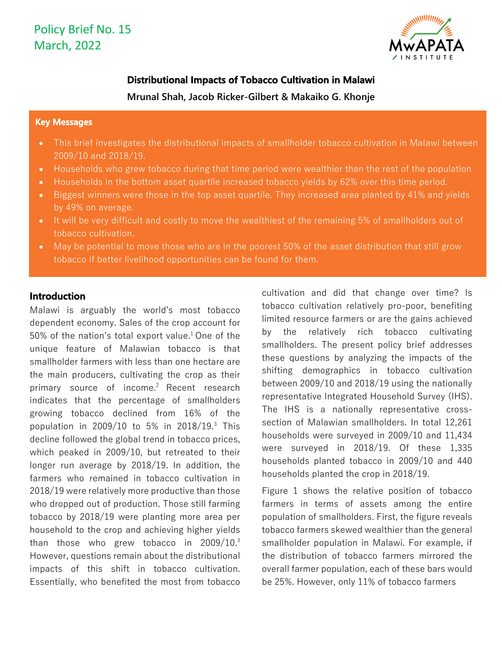

### **Distributional Impacts of Tobacco Cultivation in Malawi**

**Mrunal Shah, Jacob Ricker-Gilbert & Makaiko G. Khonje**

#### **Key Messages**

- This brief investigates the distributional impacts of smallholder tobacco cultivation in Malawi between 2009/10 and 2018/19.
- Households who grew tobacco during that time period were wealthier than the rest of the population
- Households in the bottom asset quartile increased tobacco yields by 62% over this time period.
- Biggest winners were those in the top asset quartile. They increased area planted by 41% and yields by 49% on average.
- It will be very difficult and costly to move the wealthiest of the remaining 5% of smallholders out of tobacco cultivation.
- May be potential to move those who are in the poorest 50% of the asset distribution that still grow tobacco if better livelihood opportunities can be found for them.

### **Introduction**

Malawi is arguably the world's most tobacco dependent economy. Sales of the crop account for 50% of the nation's total export value.<sup>1</sup> One of the unique feature of Malawian tobacco is that smallholder farmers with less than one hectare are the main producers, cultivating the crop as their primary source of income.<sup>2</sup> Recent research indicates that the percentage of smallholders growing tobacco declined from 16% of the population in 2009/10 to 5% in 2018/19.3 This decline followed the global trend in tobacco prices, which peaked in 2009/10, but retreated to their longer run average by 2018/19. In addition, the farmers who remained in tobacco cultivation in 2018/19 were relatively more productive than those who dropped out of production. Those still farming tobacco by 2018/19 were planting more area per household to the crop and achieving higher yields than those who grew tobacco in 2009/10. 3 However, questions remain about the distributional impacts of this shift in tobacco cultivation. Essentially, who benefited the most from tobacco cultivation and did that change over time? Is tobacco cultivation relatively pro-poor, benefiting limited resource farmers or are the gains achieved by the relatively rich tobacco cultivating smallholders. The present policy brief addresses these questions by analyzing the impacts of the shifting demographics in tobacco cultivation between 2009/10 and 2018/19 using the nationally representative Integrated Household Survey (IHS). The IHS is a nationally representative crosssection of Malawian smallholders. In total 12,261 households were surveyed in 2009/10 and 11,434 were surveyed in 2018/19. Of these 1,335 households planted tobacco in 2009/10 and 440 households planted the crop in 2018/19.

Figure 1 shows the relative position of tobacco farmers in terms of assets among the entire population of smallholders. First, the figure reveals tobacco farmers skewed wealthier than the general smallholder population in Malawi. For example, if the distribution of tobacco farmers mirrored the overall farmer population, each of these bars would be 25%. However, only 11% of tobacco farmers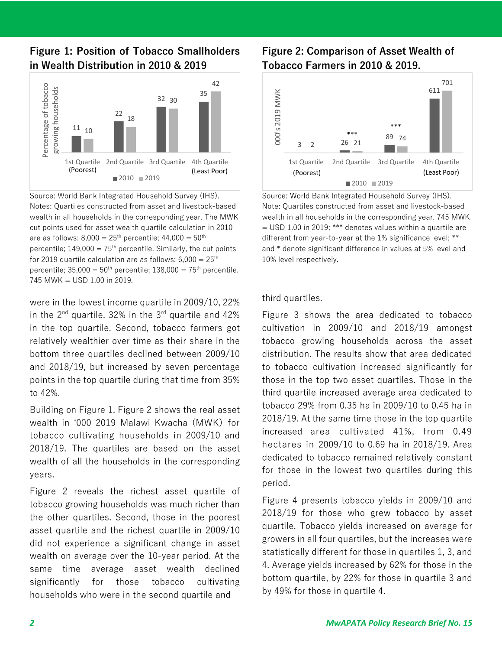**Figure 1: Position of Tobacco Smallholders in Wealth Distribution in 2010 & 2019**



Source: World Bank Integrated Household Survey (IHS). Notes: Quartiles constructed from asset and livestock-based wealth in all households in the corresponding year. The MWK cut points used for asset wealth quartile calculation in 2010 are as follows:  $8,000 = 25^{th}$  percentile;  $44,000 = 50^{th}$ percentile;  $149,000 = 75<sup>th</sup>$  percentile. Similarly, the cut points for 2019 quartile calculation are as follows:  $6,000 = 25$ <sup>th</sup> percentile;  $35,000 = 50$ <sup>th</sup> percentile;  $138,000 = 75$ <sup>th</sup> percentile. 745 MWK = USD 1.00 in 2019.

were in the lowest income quartile in 2009/10, 22% in the  $2^{nd}$  quartile, 32% in the  $3^{rd}$  quartile and 42% in the top quartile. Second, tobacco farmers got relatively wealthier over time as their share in the bottom three quartiles declined between 2009/10 and 2018/19, but increased by seven percentage points in the top quartile during that time from 35% to 42%.

Building on Figure 1, Figure 2 shows the real asset wealth in ʻ000 2019 Malawi Kwacha (MWK) for tobacco cultivating households in 2009/10 and 2018/19. The quartiles are based on the asset wealth of all the households in the corresponding years.

Figure 2 reveals the richest asset quartile of tobacco growing households was much richer than the other quartiles. Second, those in the poorest asset quartile and the richest quartile in 2009/10 did not experience a significant change in asset wealth on average over the 10-year period. At the same time average asset wealth declined significantly for those tobacco cultivating households who were in the second quartile and

## **Figure 2: Comparison of Asset Wealth of Tobacco Farmers in 2010 & 2019.**



Source: World Bank Integrated Household Survey (IHS). Note: Quartiles constructed from asset and livestock-based wealth in all households in the corresponding year. 745 MWK  $=$  USD 1.00 in 2019; \*\*\* denotes values within a quartile are different from year-to-year at the 1% significance level; \*\* and \* denote significant difference in values at 5% level and 10% level respectively.

#### third quartiles.

Figure 3 shows the area dedicated to tobacco cultivation in 2009/10 and 2018/19 amongst tobacco growing households across the asset distribution. The results show that area dedicated to tobacco cultivation increased significantly for those in the top two asset quartiles. Those in the third quartile increased average area dedicated to tobacco 29% from 0.35 ha in 2009/10 to 0.45 ha in 2018/19. At the same time those in the top quartile increased area cultivated 41%, from 0.49 hectares in 2009/10 to 0.69 ha in 2018/19. Area dedicated to tobacco remained relatively constant for those in the lowest two quartiles during this period.

Figure 4 presents tobacco yields in 2009/10 and 2018/19 for those who grew tobacco by asset quartile. Tobacco yields increased on average for growers in all four quartiles, but the increases were statistically different for those in quartiles 1, 3, and 4. Average yields increased by 62% for those in the bottom quartile, by 22% for those in quartile 3 and by 49% for those in quartile 4.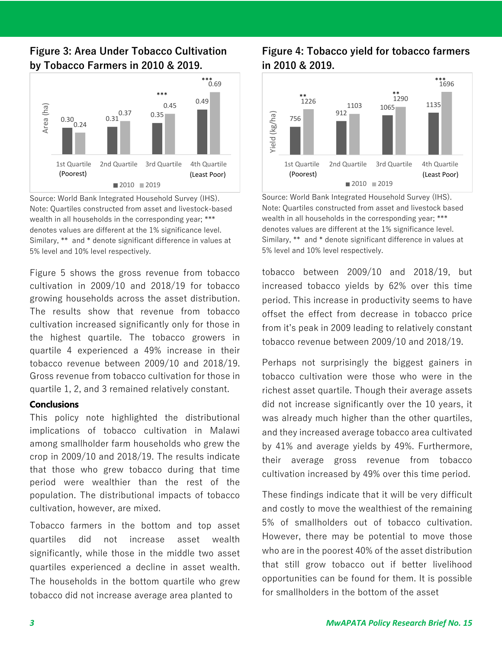## **Figure 3: Area Under Tobacco Cultivation by Tobacco Farmers in 2010 & 2019.**



Source: World Bank Integrated Household Survey (IHS). Note: Quartiles constructed from asset and livestock-based wealth in all households in the corresponding year; \*\*\* denotes values are different at the 1% significance level. Similary, \*\* and \* denote significant difference in values at 5% level and 10% level respectively.

Figure 5 shows the gross revenue from tobacco cultivation in 2009/10 and 2018/19 for tobacco growing households across the asset distribution. The results show that revenue from tobacco cultivation increased significantly only for those in the highest quartile. The tobacco growers in quartile 4 experienced a 49% increase in their tobacco revenue between 2009/10 and 2018/19. Gross revenue from tobacco cultivation for those in quartile 1, 2, and 3 remained relatively constant.

### **Conclusions**

This policy note highlighted the distributional implications of tobacco cultivation in Malawi among smallholder farm households who grew the crop in 2009/10 and 2018/19. The results indicate that those who grew tobacco during that time period were wealthier than the rest of the population. The distributional impacts of tobacco cultivation, however, are mixed.

Tobacco farmers in the bottom and top asset quartiles did not increase asset wealth significantly, while those in the middle two asset quartiles experienced a decline in asset wealth. The households in the bottom quartile who grew tobacco did not increase average area planted to

## **Figure 4: Tobacco yield for tobacco farmers in 2010 & 2019.**



Source: World Bank Integrated Household Survey (IHS). Note: Quartiles constructed from asset and livestock based wealth in all households in the corresponding year; \*\*\* denotes values are different at the 1% significance level. Similary, \*\* and \* denote significant difference in values at 5% level and 10% level respectively.

tobacco between 2009/10 and 2018/19, but increased tobacco yields by 62% over this time period. This increase in productivity seems to have offset the effect from decrease in tobacco price from it's peak in 2009 leading to relatively constant tobacco revenue between 2009/10 and 2018/19.

Perhaps not surprisingly the biggest gainers in tobacco cultivation were those who were in the richest asset quartile. Though their average assets did not increase significantly over the 10 years, it was already much higher than the other quartiles, and they increased average tobacco area cultivated by 41% and average yields by 49%. Furthermore, their average gross revenue from tobacco cultivation increased by 49% over this time period.

These findings indicate that it will be very difficult and costly to move the wealthiest of the remaining 5% of smallholders out of tobacco cultivation. However, there may be potential to move those who are in the poorest 40% of the asset distribution that still grow tobacco out if better livelihood opportunities can be found for them. It is possible for smallholders in the bottom of the asset